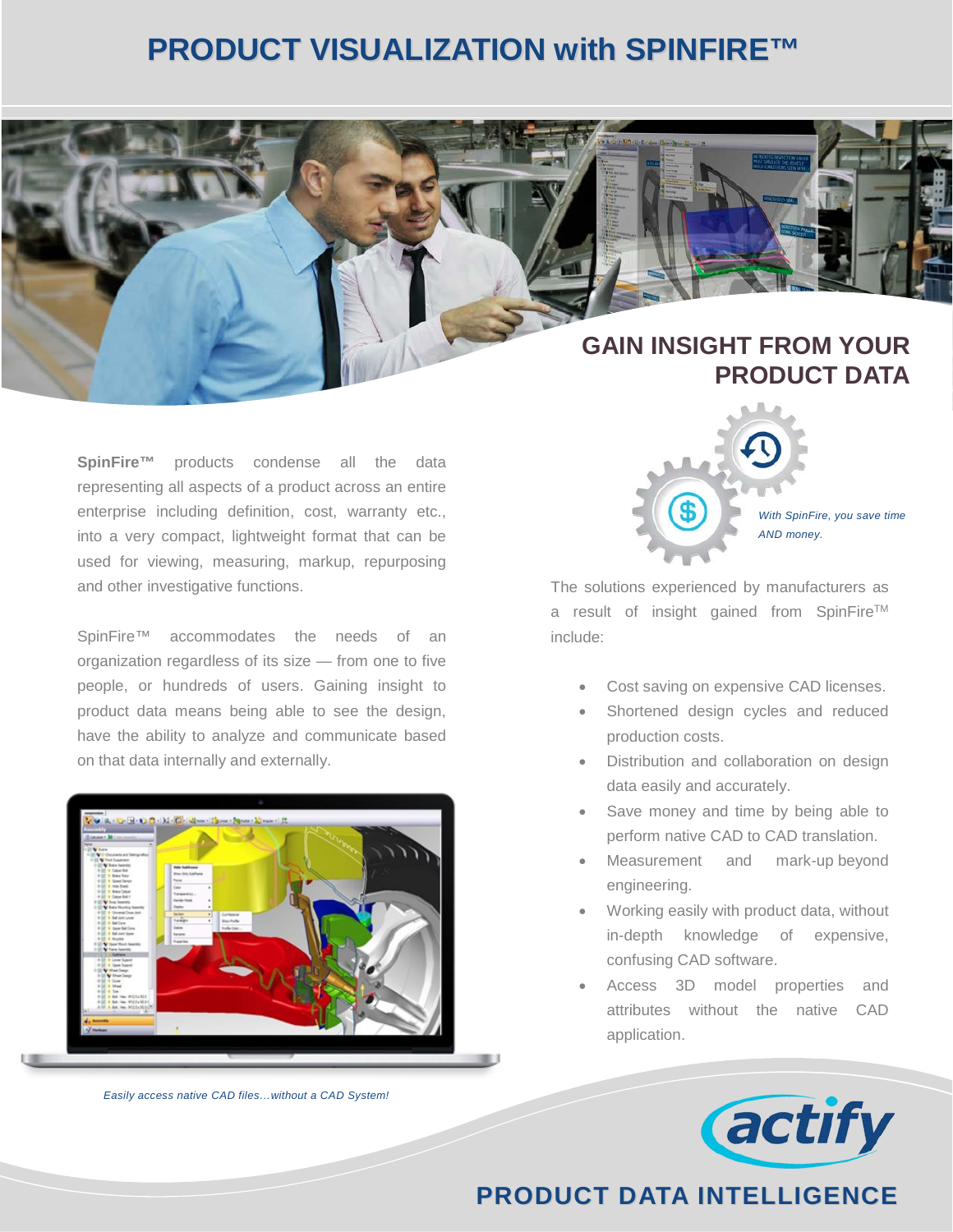# **PRODUCT VISUALIZATION with SPINFIRE™**

## **GAIN INSIGHT FROM YOUR PRODUCT DATA**

**SpinFire™** products condense all the data representing all aspects of a product across an entire enterprise including definition, cost, warranty etc., into a very compact, lightweight format that can be used for viewing, measuring, markup, repurposing and other investigative functions.

SpinFire<sup>™</sup> accommodates the needs of an organization regardless of its size — from one to five people, or hundreds of users. Gaining insight to product data means being able to see the design, have the ability to analyze and communicate based on that data internally and externally.



*Easily access native CAD files…without a CAD System!*



The solutions experienced by manufacturers as a result of insight gained from SpinFire™ include:

- Cost saving on expensive CAD licenses.
- Shortened design cycles and reduced production costs.
- Distribution and collaboration on design data easily and accurately.
- Save money and time by being able to perform native CAD to CAD translation.
- Measurement and mark-up beyond engineering.
- Working easily with product data, without in-depth knowledge of expensive, confusing CAD software.
- Access 3D model properties and attributes without the native CAD application.



### **PRODUCT DATA INTELLIGENCE**